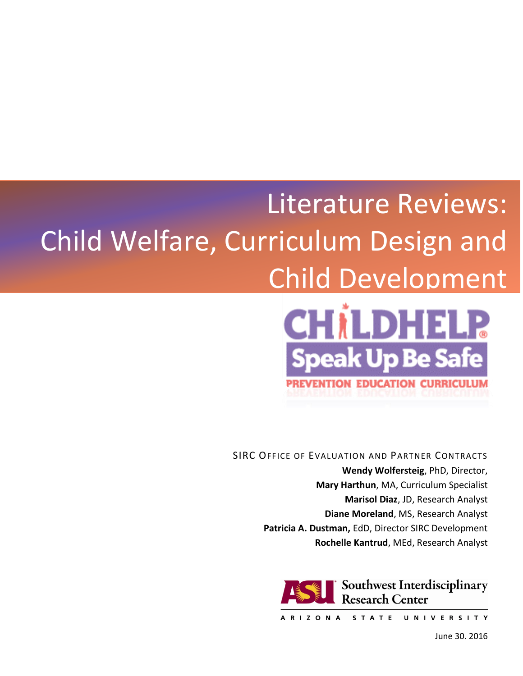# Literature Reviews: Child Welfare, Curriculum Design and Child Development



SIRC OFFICE OF EVALUATION AND PARTNER CONTRACTS **Wendy Wolfersteig**, PhD, Director, **Mary Harthun**, MA, Curriculum Specialist **Marisol Diaz**, JD, Research Analyst **Diane Moreland**, MS, Research Analyst **Patricia A. Dustman,** EdD, Director SIRC Development **Rochelle Kantrud**, MEd, Research Analyst



ARIZONA STATE UNIVERSITY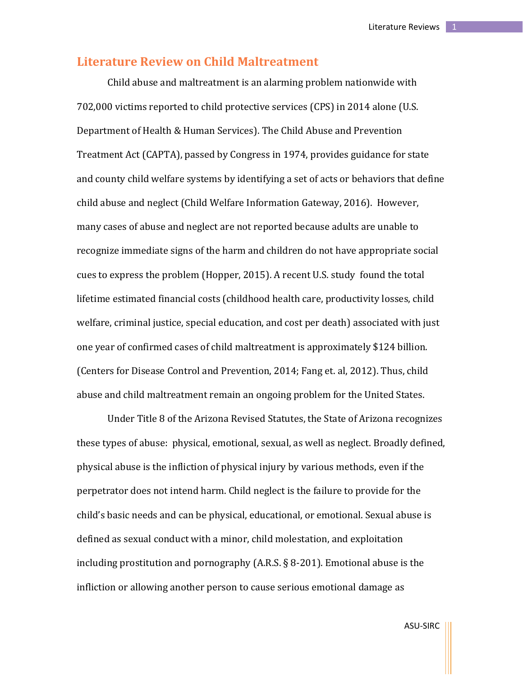# **Literature Review on Child Maltreatment**

Child abuse and maltreatment is an alarming problem nationwide with 702,000 victims reported to child protective services (CPS) in 2014 alone (U.S. Department of Health & Human Services). The Child Abuse and Prevention Treatment Act (CAPTA), passed by Congress in 1974, provides guidance for state and county child welfare systems by identifying a set of acts or behaviors that define child abuse and neglect (Child Welfare Information Gateway, 2016). However, many cases of abuse and neglect are not reported because adults are unable to recognize immediate signs of the harm and children do not have appropriate social cues to express the problem (Hopper, 2015). A recent U.S. study found the total lifetime estimated financial costs (childhood health care, productivity losses, child welfare, criminal justice, special education, and cost per death) associated with just one year of confirmed cases of child maltreatment is approximately \$124 billion. (Centers for Disease Control and Prevention, 2014; Fang et. al, 2012). Thus, child abuse and child maltreatment remain an ongoing problem for the United States.

Under Title 8 of the Arizona Revised Statutes, the State of Arizona recognizes these types of abuse: physical, emotional, sexual, as well as neglect. Broadly defined, physical abuse is the infliction of physical injury by various methods, even if the perpetrator does not intend harm. Child neglect is the failure to provide for the child's basic needs and can be physical, educational, or emotional. Sexual abuse is defined as sexual conduct with a minor, child molestation, and exploitation including prostitution and pornography (A.R.S. § 8-201). Emotional abuse is the infliction or allowing another person to cause serious emotional damage as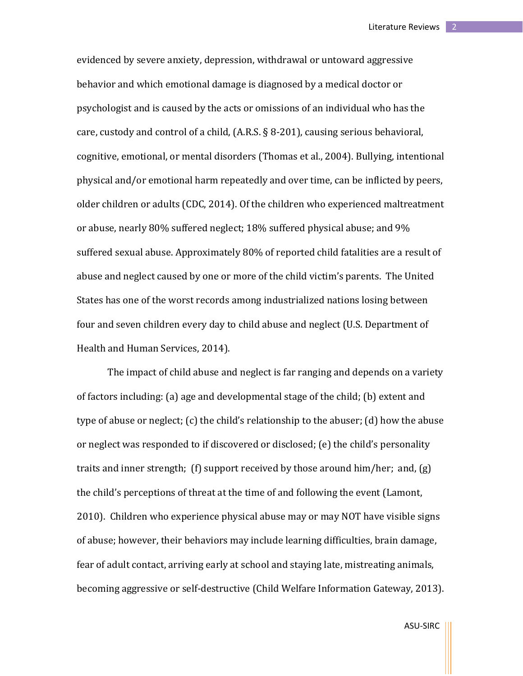evidenced by severe anxiety, depression, withdrawal or untoward aggressive behavior and which emotional damage is diagnosed by a medical doctor or psychologist and is caused by the acts or omissions of an individual who has the care, custody and control of a child, (A.R.S. § 8-201), causing serious behavioral, cognitive, emotional, or mental disorders (Thomas et al., 2004). Bullying, intentional physical and/or emotional harm repeatedly and over time, can be inflicted by peers, older children or adults (CDC, 2014). Of the children who experienced maltreatment or abuse, nearly 80% suffered neglect; 18% suffered physical abuse; and 9% suffered sexual abuse. Approximately 80% of reported child fatalities are a result of abuse and neglect caused by one or more of the child victim's parents. The United States has one of the worst records among industrialized nations losing between four and seven children every day to child abuse and neglect (U.S. Department of Health and Human Services, 2014).

The impact of child abuse and neglect is far ranging and depends on a variety of factors including: (a) age and developmental stage of the child; (b) extent and type of abuse or neglect; (c) the child's relationship to the abuser; (d) how the abuse or neglect was responded to if discovered or disclosed; (e) the child's personality traits and inner strength; (f) support received by those around him/her; and, (g) the child's perceptions of threat at the time of and following the event (Lamont, 2010). Children who experience physical abuse may or may NOT have visible signs of abuse; however, their behaviors may include learning difficulties, brain damage, fear of adult contact, arriving early at school and staying late, mistreating animals, becoming aggressive or self-destructive (Child Welfare Information Gateway, 2013).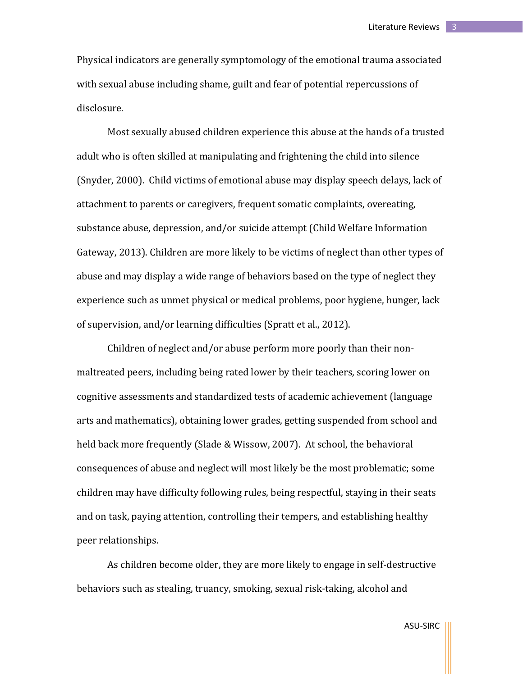Physical indicators are generally symptomology of the emotional trauma associated with sexual abuse including shame, guilt and fear of potential repercussions of disclosure.

Most sexually abused children experience this abuse at the hands of a trusted adult who is often skilled at manipulating and frightening the child into silence (Snyder, 2000). Child victims of emotional abuse may display speech delays, lack of attachment to parents or caregivers, frequent somatic complaints, overeating, substance abuse, depression, and/or suicide attempt (Child Welfare Information Gateway, 2013). Children are more likely to be victims of neglect than other types of abuse and may display a wide range of behaviors based on the type of neglect they experience such as unmet physical or medical problems, poor hygiene, hunger, lack of supervision, and/or learning difficulties (Spratt et al., 2012).

Children of neglect and/or abuse perform more poorly than their nonmaltreated peers, including being rated lower by their teachers, scoring lower on cognitive assessments and standardized tests of academic achievement (language arts and mathematics), obtaining lower grades, getting suspended from school and held back more frequently (Slade & Wissow, 2007). At school, the behavioral consequences of abuse and neglect will most likely be the most problematic; some children may have difficulty following rules, being respectful, staying in their seats and on task, paying attention, controlling their tempers, and establishing healthy peer relationships.

As children become older, they are more likely to engage in self-destructive behaviors such as stealing, truancy, smoking, sexual risk-taking, alcohol and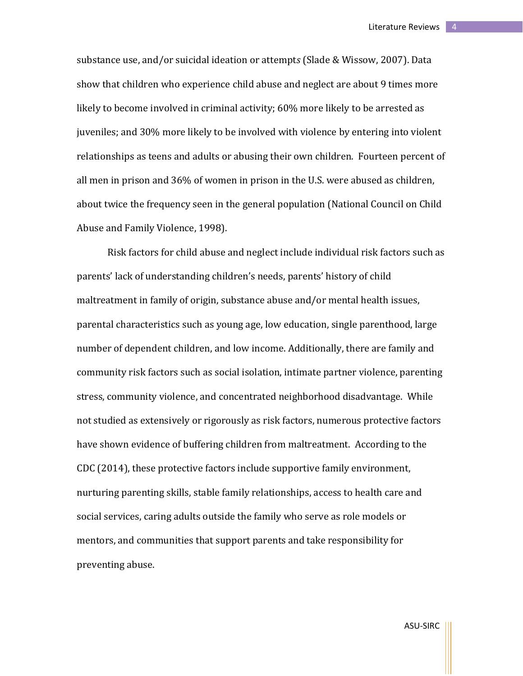substance use, and/or suicidal ideation or attempt*s* (Slade & Wissow, 2007). Data show that children who experience child abuse and neglect are about 9 times more likely to become involved in criminal activity; 60% more likely to be arrested as juveniles; and 30% more likely to be involved with violence by entering into violent relationships as teens and adults or abusing their own children. Fourteen percent of all men in prison and 36% of women in prison in the U.S. were abused as children, about twice the frequency seen in the general population (National Council on Child Abuse and Family Violence, 1998).

Risk factors for child abuse and neglect include individual risk factors such as parents' lack of understanding children's needs, parents' history of child maltreatment in family of origin, substance abuse and/or mental health issues, parental characteristics such as young age, low education, single parenthood, large number of dependent children, and low income. Additionally, there are family and community risk factors such as social isolation, intimate partner violence, parenting stress, community violence, and concentrated neighborhood disadvantage. While not studied as extensively or rigorously as risk factors, numerous protective factors have shown evidence of buffering children from maltreatment. According to the CDC (2014), these protective factors include supportive family environment, nurturing parenting skills, stable family relationships, access to health care and social services, caring adults outside the family who serve as role models or mentors, and communities that support parents and take responsibility for preventing abuse.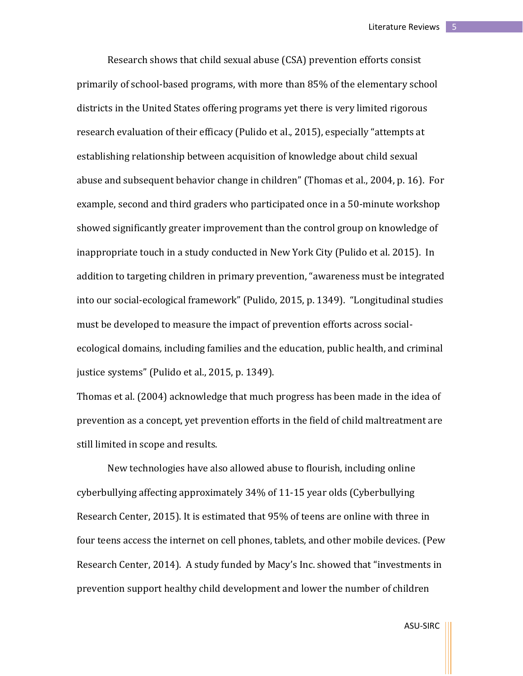Research shows that child sexual abuse (CSA) prevention efforts consist primarily of school-based programs, with more than 85% of the elementary school districts in the United States offering programs yet there is very limited rigorous research evaluation of their efficacy (Pulido et al., 2015), especially "attempts at establishing relationship between acquisition of knowledge about child sexual abuse and subsequent behavior change in children" (Thomas et al., 2004, p. 16). For example, second and third graders who participated once in a 50-minute workshop showed significantly greater improvement than the control group on knowledge of inappropriate touch in a study conducted in New York City (Pulido et al. 2015). In addition to targeting children in primary prevention, "awareness must be integrated into our social-ecological framework" (Pulido, 2015, p. 1349). "Longitudinal studies must be developed to measure the impact of prevention efforts across socialecological domains*,* including families and the education, public health, and criminal justice systems" (Pulido et al., 2015, p. 1349).

Thomas et al. (2004) acknowledge that much progress has been made in the idea of prevention as a concept, yet prevention efforts in the field of child maltreatment are still limited in scope and results.

New technologies have also allowed abuse to flourish, including online cyberbullying affecting approximately 34% of 11-15 year olds (Cyberbullying Research Center, 2015). It is estimated that 95% of teens are online with three in four teens access the internet on cell phones, tablets, and other mobile devices. (Pew Research Center, 2014). A study funded by Macy's Inc. showed that "investments in prevention support healthy child development and lower the number of children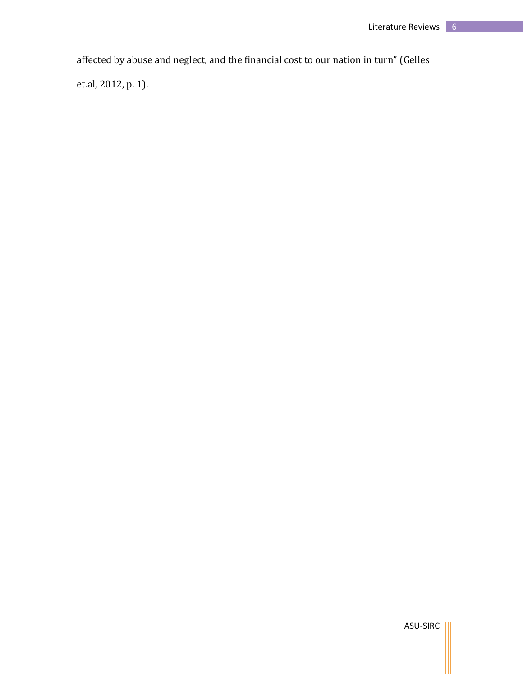affected by abuse and neglect, and the financial cost to our nation in turn" (Gelles

et.al, 2012, p. 1).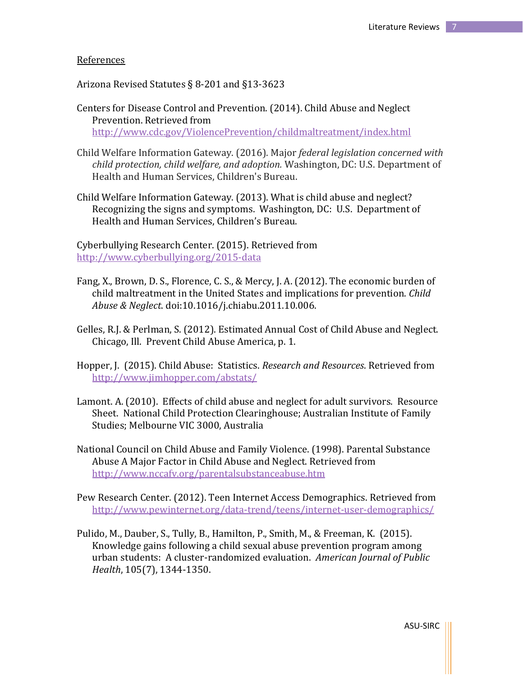#### References

Arizona Revised Statutes § 8-201 and §13-3623

- Centers for Disease Control and Prevention. (2014). Child Abuse and Neglect Prevention. Retrieved from <http://www.cdc.gov/ViolencePrevention/childmaltreatment/index.html>
- Child Welfare Information Gateway. (2016). Major *federal legislation concerned with child protection, child welfare, and adoption.* Washington, DC: U.S. Department of Health and Human Services, Children's Bureau.
- Child Welfare Information Gateway. (2013). What is child abuse and neglect? Recognizing the signs and symptoms. Washington, DC: U.S. Department of Health and Human Services, Children's Bureau.

Cyberbullying Research Center. (2015). Retrieved from <http://www.cyberbullying.org/2015-data>

- Fang, X., Brown, D. S., Florence, C. S., & Mercy, J. A. (2012). The economic burden of child maltreatment in the United States and implications for prevention. *Child Abuse & Neglect*. doi:10.1016/j.chiabu.2011.10.006.
- Gelles, R.J. & Perlman, S. (2012). Estimated Annual Cost of Child Abuse and Neglect. Chicago, Ill. Prevent Child Abuse America, p. 1.
- Hopper, J. (2015). Child Abuse: Statistics. *Research and Resources*. Retrieved from <http://www.jimhopper.com/abstats/>
- Lamont. A. (2010). Effects of child abuse and neglect for adult survivors. Resource Sheet. National Child Protection Clearinghouse; Australian Institute of Family Studies; Melbourne VIC 3000, Australia
- National Council on Child Abuse and Family Violence. (1998). Parental Substance Abuse A Major Factor in Child Abuse and Neglect. Retrieved from <http://www.nccafv.org/parentalsubstanceabuse.htm>
- Pew Research Center. (2012). Teen Internet Access Demographics. Retrieved from <http://www.pewinternet.org/data-trend/teens/internet-user-demographics/>
- Pulido, M., Dauber, S., Tully, B., Hamilton, P., Smith, M., & Freeman, K. (2015). Knowledge gains following a child sexual abuse prevention program among urban students: A cluster-randomized evaluation. *American Journal of Public Health*, 105(7), 1344-1350.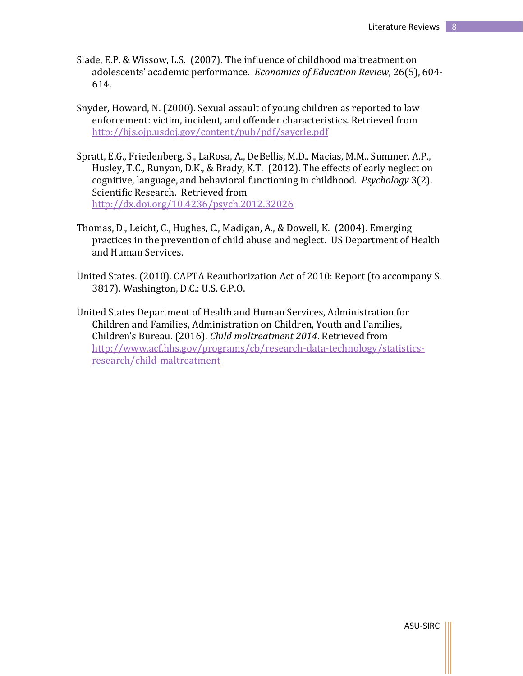- Slade, E.P. & Wissow, L.S. (2007). The influence of childhood maltreatment on adolescents' academic performance*. Economics of Education Review*, 26(5), 604- 614.
- Snyder, Howard, N. (2000). Sexual assault of young children as reported to law enforcement: victim, incident, and offender characteristics. Retrieved from <http://bjs.ojp.usdoj.gov/content/pub/pdf/saycrle.pdf>
- Spratt, E.G., Friedenberg, S., LaRosa, A., DeBellis, M.D., Macias, M.M., Summer, A.P., Husley, T.C., Runyan, D.K., & Brady, K.T. (2012). The effects of early neglect on cognitive, language, and behavioral functioning in childhood. *Psychology* 3(2). Scientific Research. Retrieved from <http://dx.doi.org/10.4236/psych.2012.32026>
- Thomas, D., Leicht, C., Hughes, C., Madigan, A., & Dowell, K. (2004). Emerging practices in the prevention of child abuse and neglect. US Department of Health and Human Services.
- United States. (2010). CAPTA Reauthorization Act of 2010: Report (to accompany S. 3817). Washington, D.C.: U.S. G.P.O.
- United States Department of Health and Human Services, Administration for Children and Families, Administration on Children, Youth and Families, Children's Bureau. (2016). *Child maltreatment 2014*. Retrieved from [http://www.acf.hhs.gov/programs/cb/research-data-technology/statistics](http://www.acf.hhs.gov/programs/cb/research-data-technology/statistics-research/child-maltreatment)[research/child-maltreatment](http://www.acf.hhs.gov/programs/cb/research-data-technology/statistics-research/child-maltreatment)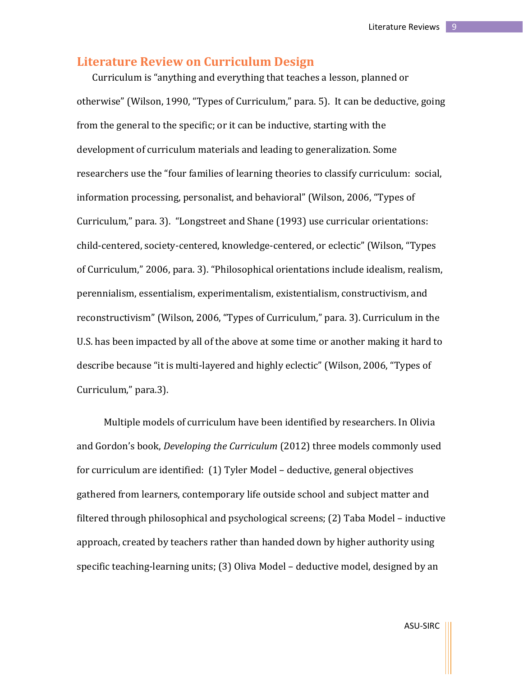# **Literature Review on Curriculum Design**

Curriculum is "anything and everything that teaches a lesson, planned or otherwise" (Wilson, 1990, "Types of Curriculum," para. 5). It can be deductive, going from the general to the specific; or it can be inductive, starting with the development of curriculum materials and leading to generalization. Some researchers use the "four families of learning theories to classify curriculum: social, information processing, personalist, and behavioral" (Wilson, 2006, "Types of Curriculum," para. 3). "Longstreet and Shane (1993) use curricular orientations: child-centered, society-centered, knowledge-centered, or eclectic" (Wilson, "Types of Curriculum," 2006, para. 3). "Philosophical orientations include idealism, realism, perennialism, essentialism, experimentalism, existentialism, constructivism, and reconstructivism" (Wilson, 2006, "Types of Curriculum," para. 3). Curriculum in the U.S. has been impacted by all of the above at some time or another making it hard to describe because "it is multi-layered and highly eclectic" (Wilson, 2006, "Types of Curriculum," para.3).

Multiple models of curriculum have been identified by researchers. In Olivia and Gordon's book, *Developing the Curriculum* (2012) three models commonly used for curriculum are identified: (1) Tyler Model – deductive, general objectives gathered from learners, contemporary life outside school and subject matter and filtered through philosophical and psychological screens; (2) Taba Model – inductive approach, created by teachers rather than handed down by higher authority using specific teaching-learning units; (3) Oliva Model – deductive model, designed by an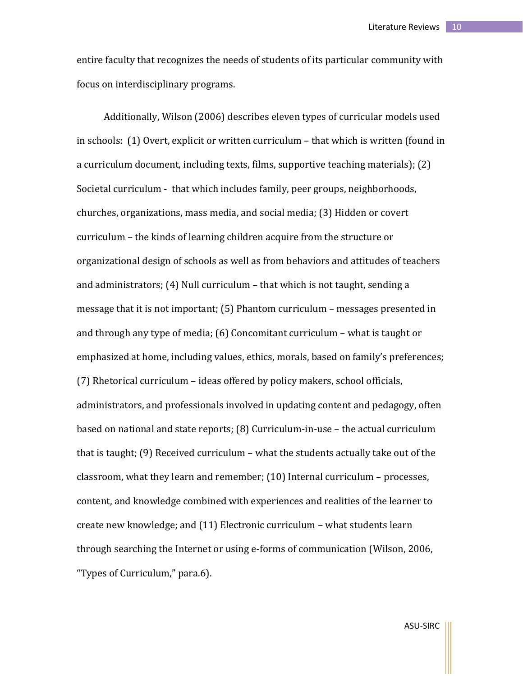entire faculty that recognizes the needs of students of its particular community with focus on interdisciplinary programs.

Additionally, Wilson (2006) describes eleven types of curricular models used in schools: (1) Overt, explicit or written curriculum – that which is written (found in a curriculum document, including texts, films, supportive teaching materials); (2) Societal curriculum - that which includes family, peer groups, neighborhoods, churches, organizations, mass media, and social media; (3) Hidden or covert curriculum – the kinds of learning children acquire from the structure or organizational design of schools as well as from behaviors and attitudes of teachers and administrators; (4) Null curriculum – that which is not taught, sending a message that it is not important; (5) Phantom curriculum – messages presented in and through any type of media; (6) Concomitant curriculum – what is taught or emphasized at home, including values, ethics, morals, based on family's preferences; (7) Rhetorical curriculum – ideas offered by policy makers, school officials, administrators, and professionals involved in updating content and pedagogy, often based on national and state reports; (8) Curriculum-in-use – the actual curriculum that is taught; (9) Received curriculum – what the students actually take out of the classroom, what they learn and remember; (10) Internal curriculum – processes, content, and knowledge combined with experiences and realities of the learner to create new knowledge; and (11) Electronic curriculum – what students learn through searching the Internet or using e-forms of communication (Wilson, 2006, "Types of Curriculum," para.6).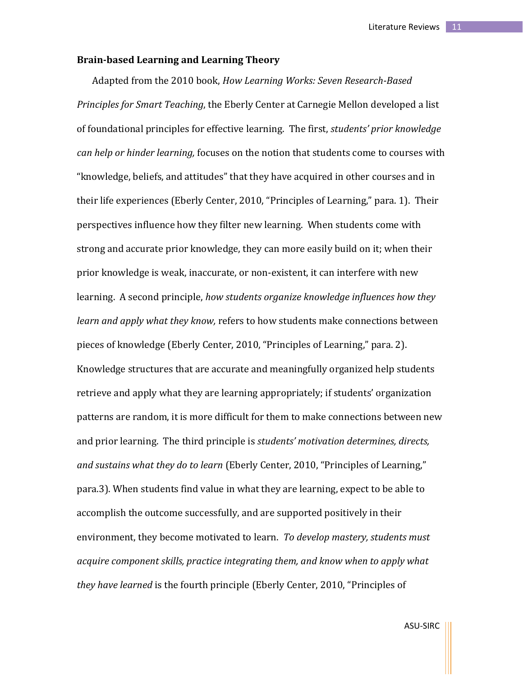# **Brain-based Learning and Learning Theory**

Adapted from the 2010 book, *How Learning Works: Seven Research-Based Principles for Smart Teaching*, the Eberly Center at Carnegie Mellon developed a list of foundational principles for effective learning. The first, *students' prior knowledge can help or hinder learning,* focuses on the notion that students come to courses with "knowledge, beliefs, and attitudes" that they have acquired in other courses and in their life experiences (Eberly Center, 2010, "Principles of Learning," para. 1). Their perspectives influence how they filter new learning. When students come with strong and accurate prior knowledge, they can more easily build on it; when their prior knowledge is weak, inaccurate, or non-existent, it can interfere with new learning. A second principle, *how students organize knowledge influences how they learn and apply what they know,* refers to how students make connections between pieces of knowledge (Eberly Center, 2010, "Principles of Learning," para. 2). Knowledge structures that are accurate and meaningfully organized help students retrieve and apply what they are learning appropriately; if students' organization patterns are random, it is more difficult for them to make connections between new and prior learning. The third principle is *students' motivation determines, directs, and sustains what they do to learn* (Eberly Center, 2010, "Principles of Learning," para.3). When students find value in what they are learning, expect to be able to accomplish the outcome successfully, and are supported positively in their environment, they become motivated to learn. *To develop mastery, students must acquire component skills, practice integrating them, and know when to apply what they have learned* is the fourth principle (Eberly Center, 2010, "Principles of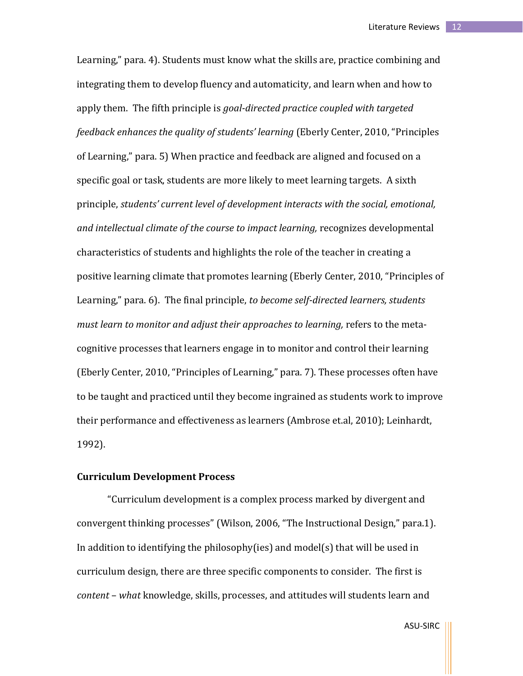Learning," para. 4). Students must know what the skills are, practice combining and integrating them to develop fluency and automaticity, and learn when and how to apply them. The fifth principle is *goal-directed practice coupled with targeted feedback enhances the quality of students' learning* (Eberly Center, 2010, "Principles of Learning," para. 5) When practice and feedback are aligned and focused on a specific goal or task, students are more likely to meet learning targets. A sixth principle, *students' current level of development interacts with the social, emotional, and intellectual climate of the course to impact learning,* recognizes developmental characteristics of students and highlights the role of the teacher in creating a positive learning climate that promotes learning (Eberly Center, 2010, "Principles of Learning," para. 6). The final principle, *to become self-directed learners, students must learn to monitor and adjust their approaches to learning,* refers to the metacognitive processes that learners engage in to monitor and control their learning (Eberly Center, 2010, "Principles of Learning," para. 7). These processes often have to be taught and practiced until they become ingrained as students work to improve their performance and effectiveness as learners (Ambrose et.al, 2010); Leinhardt, 1992).

# **Curriculum Development Process**

"Curriculum development is a complex process marked by divergent and convergent thinking processes" (Wilson, 2006, "The Instructional Design," para.1). In addition to identifying the philosophy(ies) and model(s) that will be used in curriculum design, there are three specific components to consider. The first is *content* – *what* knowledge, skills, processes, and attitudes will students learn and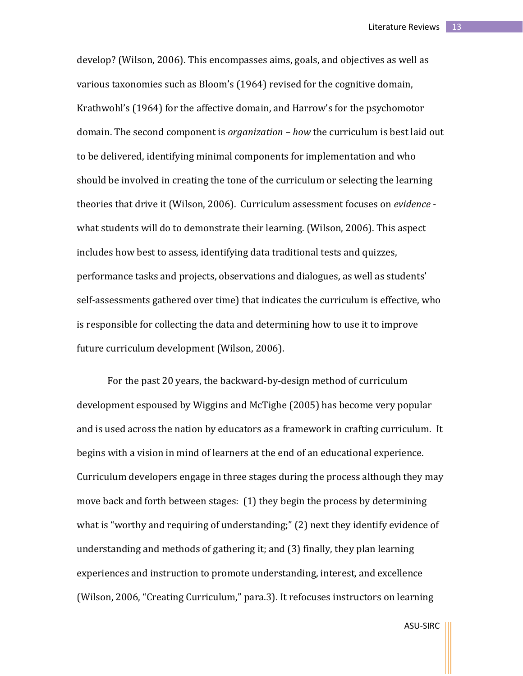develop? (Wilson, 2006). This encompasses aims, goals, and objectives as well as various taxonomies such as Bloom's (1964) revised for the cognitive domain, Krathwohl's (1964) for the affective domain, and Harrow's for the psychomotor domain. The second component is *organization – how* the curriculum is best laid out to be delivered, identifying minimal components for implementation and who should be involved in creating the tone of the curriculum or selecting the learning theories that drive it (Wilson, 2006). Curriculum assessment focuses on *evidence*  what students will do to demonstrate their learning. (Wilson, 2006). This aspect includes how best to assess, identifying data traditional tests and quizzes, performance tasks and projects, observations and dialogues, as well as students' self-assessments gathered over time) that indicates the curriculum is effective, who is responsible for collecting the data and determining how to use it to improve future curriculum development (Wilson, 2006).

For the past 20 years, the backward-by-design method of curriculum development espoused by Wiggins and McTighe (2005) has become very popular and is used across the nation by educators as a framework in crafting curriculum. It begins with a vision in mind of learners at the end of an educational experience. Curriculum developers engage in three stages during the process although they may move back and forth between stages: (1) they begin the process by determining what is "worthy and requiring of understanding;" (2) next they identify evidence of understanding and methods of gathering it; and (3) finally, they plan learning experiences and instruction to promote understanding, interest, and excellence (Wilson, 2006, "Creating Curriculum," para.3). It refocuses instructors on learning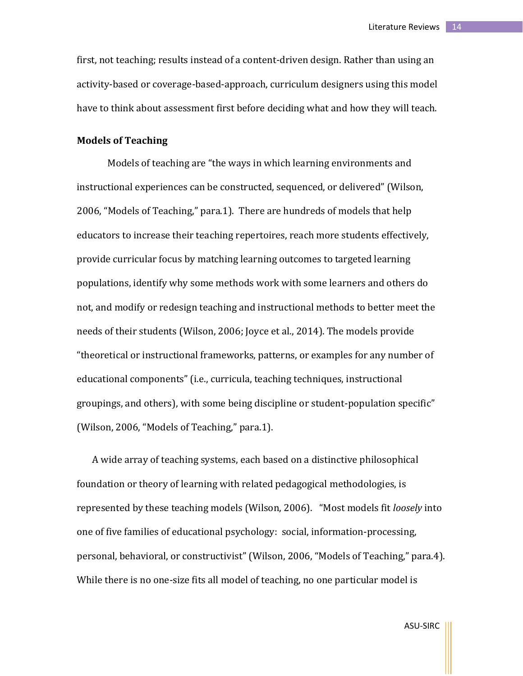first, not teaching; results instead of a content-driven design. Rather than using an activity-based or coverage-based-approach, curriculum designers using this model have to think about assessment first before deciding what and how they will teach.

# **Models of Teaching**

Models of teaching are "the ways in which learning environments and instructional experiences can be constructed, sequenced, or delivered" (Wilson, 2006, "Models of Teaching," para.1). There are hundreds of models that help educators to increase their teaching repertoires, reach more students effectively, provide curricular focus by matching learning outcomes to targeted learning populations, identify why some methods work with some learners and others do not, and modify or redesign teaching and instructional methods to better meet the needs of their students (Wilson, 2006; Joyce et al., 2014). The models provide "theoretical or instructional frameworks, patterns, or examples for any number of educational components" (i.e., curricula, teaching techniques, instructional groupings, and others), with some being discipline or student-population specific" (Wilson, 2006, "Models of Teaching," para.1).

A wide array of teaching systems, each based on a distinctive philosophical foundation or theory of learning with related pedagogical methodologies, is represented by these teaching models (Wilson, 2006). "Most models fit *loosely* into one of five families of educational psychology: social, information-processing, personal, behavioral, or constructivist" (Wilson, 2006, "Models of Teaching," para.4). While there is no one-size fits all model of teaching, no one particular model is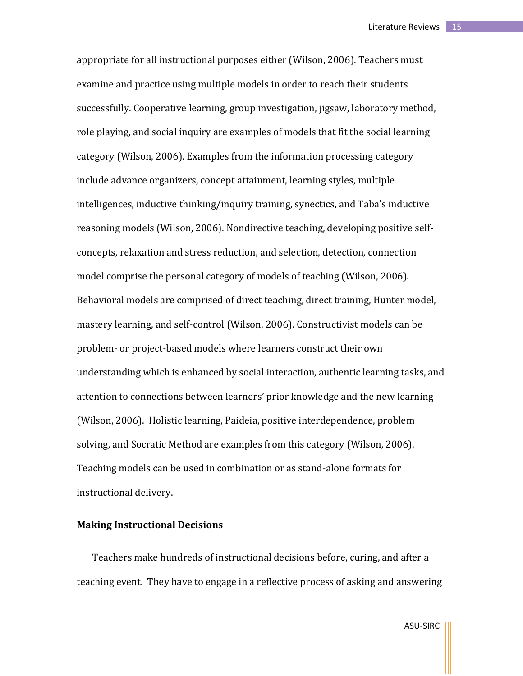appropriate for all instructional purposes either (Wilson, 2006). Teachers must examine and practice using multiple models in order to reach their students successfully. Cooperative learning, group investigation, jigsaw, laboratory method, role playing, and social inquiry are examples of models that fit the social learning category (Wilson, 2006). Examples from the information processing category include advance organizers, concept attainment, learning styles, multiple intelligences, inductive thinking/inquiry training, synectics, and Taba's inductive reasoning models (Wilson, 2006). Nondirective teaching, developing positive selfconcepts, relaxation and stress reduction, and selection, detection, connection model comprise the personal category of models of teaching (Wilson, 2006). Behavioral models are comprised of direct teaching, direct training, Hunter model, mastery learning, and self-control (Wilson, 2006). Constructivist models can be problem- or project-based models where learners construct their own understanding which is enhanced by social interaction, authentic learning tasks, and attention to connections between learners' prior knowledge and the new learning (Wilson, 2006). Holistic learning, Paideia, positive interdependence, problem solving, and Socratic Method are examples from this category (Wilson, 2006). Teaching models can be used in combination or as stand-alone formats for instructional delivery.

# **Making Instructional Decisions**

Teachers make hundreds of instructional decisions before, curing, and after a teaching event. They have to engage in a reflective process of asking and answering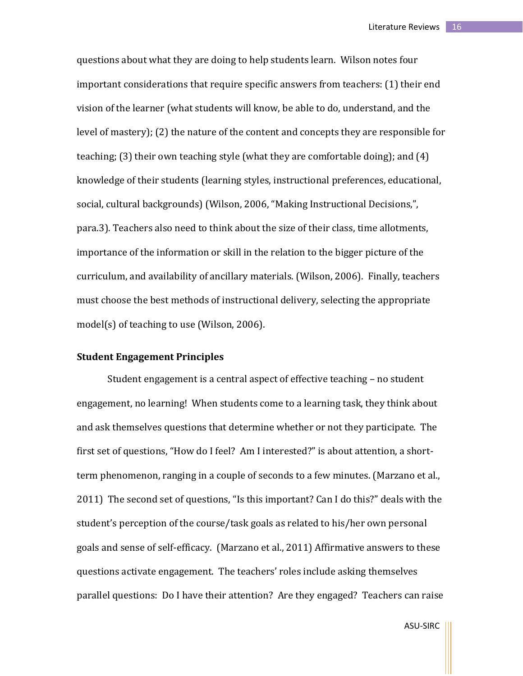questions about what they are doing to help students learn. Wilson notes four important considerations that require specific answers from teachers: (1) their end vision of the learner (what students will know, be able to do, understand, and the level of mastery); (2) the nature of the content and concepts they are responsible for teaching; (3) their own teaching style (what they are comfortable doing); and (4) knowledge of their students (learning styles, instructional preferences, educational, social, cultural backgrounds) (Wilson, 2006, "Making Instructional Decisions,", para.3). Teachers also need to think about the size of their class, time allotments, importance of the information or skill in the relation to the bigger picture of the curriculum, and availability of ancillary materials. (Wilson, 2006). Finally, teachers must choose the best methods of instructional delivery, selecting the appropriate model(s) of teaching to use (Wilson, 2006).

# **Student Engagement Principles**

Student engagement is a central aspect of effective teaching – no student engagement, no learning! When students come to a learning task, they think about and ask themselves questions that determine whether or not they participate. The first set of questions, "How do I feel? Am I interested?" is about attention, a shortterm phenomenon, ranging in a couple of seconds to a few minutes. (Marzano et al., 2011) The second set of questions, "Is this important? Can I do this?" deals with the student's perception of the course/task goals as related to his/her own personal goals and sense of self-efficacy. (Marzano et al., 2011) Affirmative answers to these questions activate engagement. The teachers' roles include asking themselves parallel questions: Do I have their attention? Are they engaged? Teachers can raise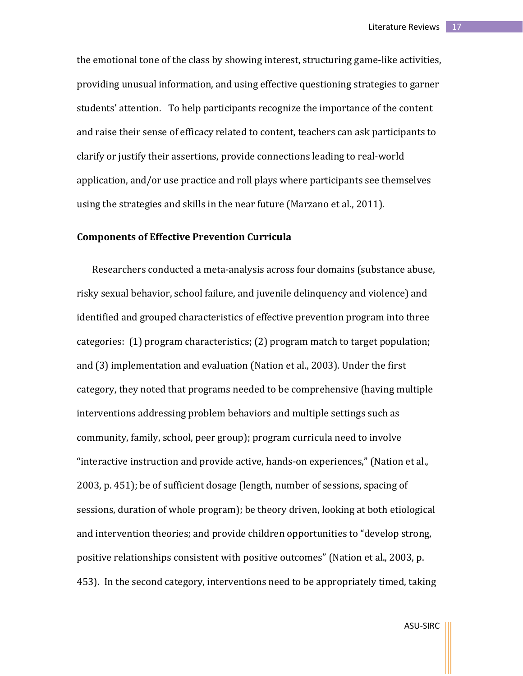the emotional tone of the class by showing interest, structuring game-like activities, providing unusual information, and using effective questioning strategies to garner students' attention. To help participants recognize the importance of the content and raise their sense of efficacy related to content, teachers can ask participants to clarify or justify their assertions, provide connections leading to real-world application, and/or use practice and roll plays where participants see themselves using the strategies and skills in the near future (Marzano et al., 2011).

# **Components of Effective Prevention Curricula**

Researchers conducted a meta-analysis across four domains (substance abuse, risky sexual behavior, school failure, and juvenile delinquency and violence) and identified and grouped characteristics of effective prevention program into three categories: (1) program characteristics; (2) program match to target population; and (3) implementation and evaluation (Nation et al., 2003). Under the first category, they noted that programs needed to be comprehensive (having multiple interventions addressing problem behaviors and multiple settings such as community, family, school, peer group); program curricula need to involve "interactive instruction and provide active, hands-on experiences," (Nation et al., 2003, p. 451); be of sufficient dosage (length, number of sessions, spacing of sessions, duration of whole program); be theory driven, looking at both etiological and intervention theories; and provide children opportunities to "develop strong, positive relationships consistent with positive outcomes" (Nation et al., 2003, p. 453). In the second category, interventions need to be appropriately timed, taking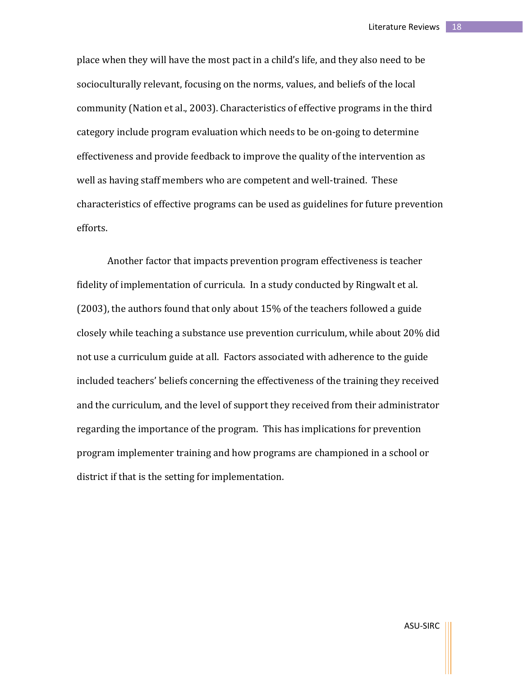place when they will have the most pact in a child's life, and they also need to be socioculturally relevant, focusing on the norms, values, and beliefs of the local community (Nation et al., 2003). Characteristics of effective programs in the third category include program evaluation which needs to be on-going to determine effectiveness and provide feedback to improve the quality of the intervention as well as having staff members who are competent and well-trained. These characteristics of effective programs can be used as guidelines for future prevention efforts.

Another factor that impacts prevention program effectiveness is teacher fidelity of implementation of curricula. In a study conducted by Ringwalt et al. (2003), the authors found that only about 15% of the teachers followed a guide closely while teaching a substance use prevention curriculum, while about 20% did not use a curriculum guide at all. Factors associated with adherence to the guide included teachers' beliefs concerning the effectiveness of the training they received and the curriculum, and the level of support they received from their administrator regarding the importance of the program. This has implications for prevention program implementer training and how programs are championed in a school or district if that is the setting for implementation.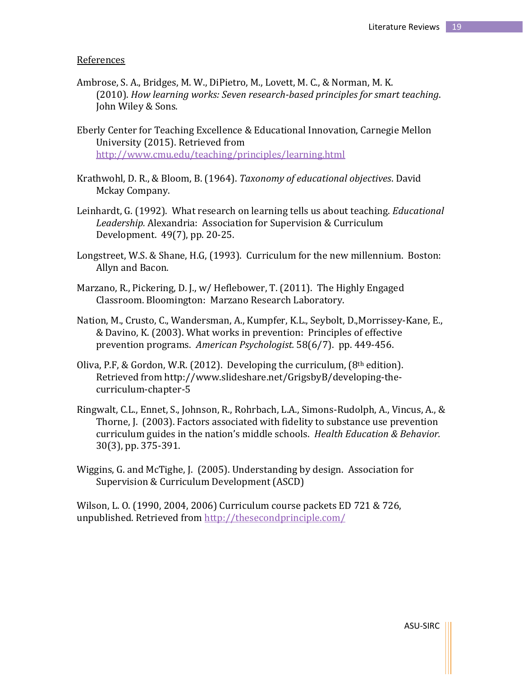#### References

- Ambrose, S. A., Bridges, M. W., DiPietro, M., Lovett, M. C., & Norman, M. K. (2010). *How learning works: Seven research-based principles for smart teaching*. John Wiley & Sons.
- Eberly Center for Teaching Excellence & Educational Innovation, Carnegie Mellon University (2015). Retrieved from <http://www.cmu.edu/teaching/principles/learning.html>
- Krathwohl, D. R., & Bloom, B. (1964). *Taxonomy of educational objectives*. David Mckay Company.
- Leinhardt, G. (1992). What research on learning tells us about teaching. *Educational Leadership.* Alexandria: Association for Supervision & Curriculum Development. 49(7), pp. 20-25.
- Longstreet, W.S. & Shane, H.G, (1993). Curriculum for the new millennium. Boston: Allyn and Bacon.
- Marzano, R., Pickering, D. J., w/ Heflebower, T. (2011). The Highly Engaged Classroom. Bloomington: Marzano Research Laboratory.
- Nation, M., Crusto, C., Wandersman, A., Kumpfer, K.L., Seybolt, D.,Morrissey-Kane, E., & Davino, K. (2003). What works in prevention: Principles of effective prevention programs. *American Psychologist.* 58(6/7). pp. 449-456.
- Oliva, P.F, & Gordon, W.R. (2012). Developing the curriculum,  $(8<sup>th</sup>$  edition). Retrieved from http://www.slideshare.net/GrigsbyB/developing-thecurriculum-chapter-5
- Ringwalt, C.L., Ennet, S., Johnson, R., Rohrbach, L.A., Simons-Rudolph, A., Vincus, A., & Thorne, J. (2003). Factors associated with fidelity to substance use prevention curriculum guides in the nation's middle schools. *Health Education & Behavior.*  30(3), pp. 375-391.
- Wiggins, G. and McTighe, J. (2005). Understanding by design. Association for Supervision & Curriculum Development (ASCD)

Wilson, L. O. (1990, 2004, 2006) Curriculum course packets ED 721 & 726, unpublished. Retrieved from<http://thesecondprinciple.com/>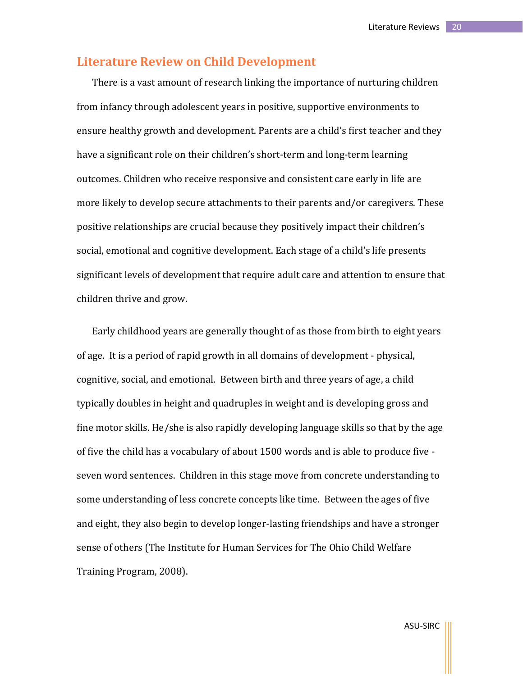# **Literature Review on Child Development**

There is a vast amount of research linking the importance of nurturing children from infancy through adolescent years in positive, supportive environments to ensure healthy growth and development. Parents are a child's first teacher and they have a significant role on their children's short-term and long-term learning outcomes. Children who receive responsive and consistent care early in life are more likely to develop secure attachments to their parents and/or caregivers. These positive relationships are crucial because they positively impact their children's social, emotional and cognitive development. Each stage of a child's life presents significant levels of development that require adult care and attention to ensure that children thrive and grow.

Early childhood years are generally thought of as those from birth to eight years of age. It is a period of rapid growth in all domains of development - physical, cognitive, social, and emotional. Between birth and three years of age, a child typically doubles in height and quadruples in weight and is developing gross and fine motor skills. He/she is also rapidly developing language skills so that by the age of five the child has a vocabulary of about 1500 words and is able to produce five seven word sentences. Children in this stage move from concrete understanding to some understanding of less concrete concepts like time. Between the ages of five and eight, they also begin to develop longer-lasting friendships and have a stronger sense of others (The Institute for Human Services for The Ohio Child Welfare Training Program, 2008).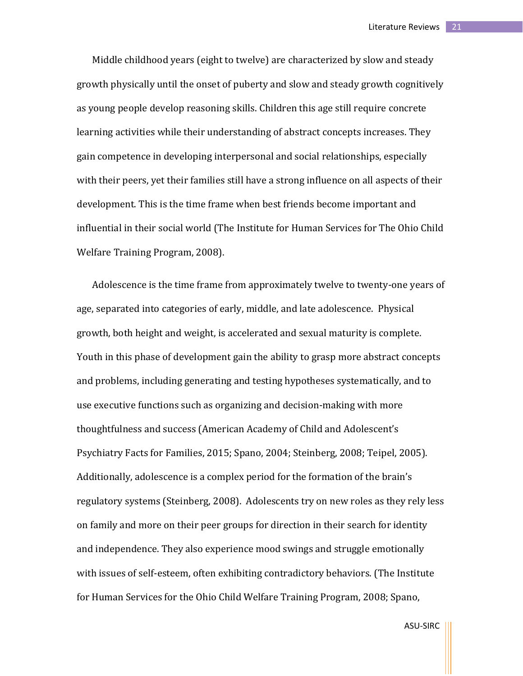Middle childhood years (eight to twelve) are characterized by slow and steady growth physically until the onset of puberty and slow and steady growth cognitively as young people develop reasoning skills. Children this age still require concrete learning activities while their understanding of abstract concepts increases. They gain competence in developing interpersonal and social relationships, especially with their peers, yet their families still have a strong influence on all aspects of their development. This is the time frame when best friends become important and influential in their social world (The Institute for Human Services for The Ohio Child Welfare Training Program, 2008).

Adolescence is the time frame from approximately twelve to twenty-one years of age, separated into categories of early, middle, and late adolescence. Physical growth, both height and weight, is accelerated and sexual maturity is complete. Youth in this phase of development gain the ability to grasp more abstract concepts and problems, including generating and testing hypotheses systematically, and to use executive functions such as organizing and decision-making with more thoughtfulness and success (American Academy of Child and Adolescent's Psychiatry Facts for Families, 2015; Spano, 2004; Steinberg, 2008; Teipel, 2005). Additionally, adolescence is a complex period for the formation of the brain's regulatory systems (Steinberg, 2008). Adolescents try on new roles as they rely less on family and more on their peer groups for direction in their search for identity and independence. They also experience mood swings and struggle emotionally with issues of self-esteem, often exhibiting contradictory behaviors. (The Institute for Human Services for the Ohio Child Welfare Training Program, 2008; Spano,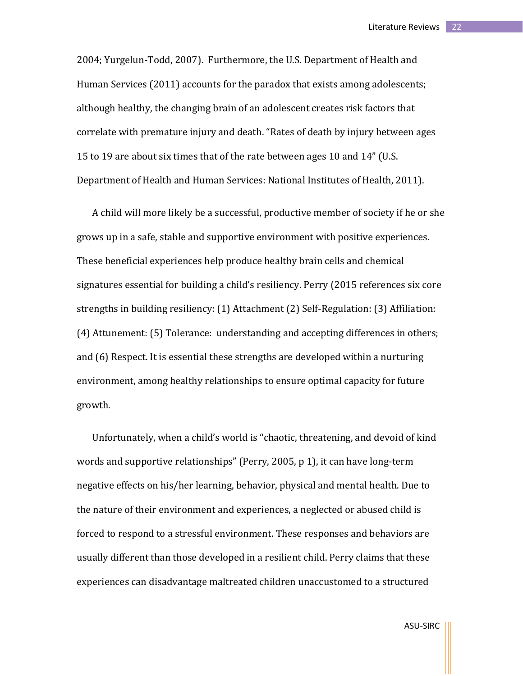2004; Yurgelun-Todd, 2007). Furthermore, the U.S. Department of Health and Human Services (2011) accounts for the paradox that exists among adolescents; although healthy, the changing brain of an adolescent creates risk factors that correlate with premature injury and death. "Rates of death by injury between ages 15 to 19 are about six times that of the rate between ages 10 and 14" (U.S. Department of Health and Human Services: National Institutes of Health, 2011).

A child will more likely be a successful, productive member of society if he or she grows up in a safe, stable and supportive environment with positive experiences. These beneficial experiences help produce healthy brain cells and chemical signatures essential for building a child's resiliency. Perry (2015 references six core strengths in building resiliency: (1) Attachment (2) Self-Regulation: (3) Affiliation: (4) Attunement: (5) Tolerance: understanding and accepting differences in others; and (6) Respect. It is essential these strengths are developed within a nurturing environment, among healthy relationships to ensure optimal capacity for future growth.

Unfortunately, when a child's world is "chaotic, threatening, and devoid of kind words and supportive relationships" (Perry, 2005, p 1), it can have long-term negative effects on his/her learning, behavior, physical and mental health. Due to the nature of their environment and experiences, a neglected or abused child is forced to respond to a stressful environment. These responses and behaviors are usually different than those developed in a resilient child. Perry claims that these experiences can disadvantage maltreated children unaccustomed to a structured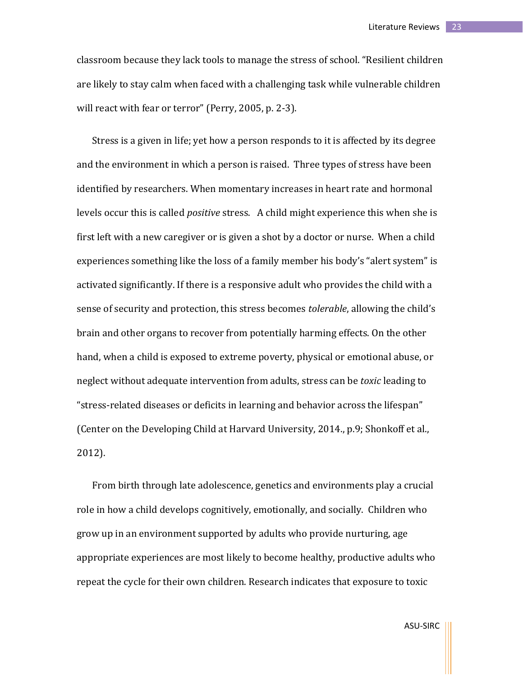classroom because they lack tools to manage the stress of school. "Resilient children are likely to stay calm when faced with a challenging task while vulnerable children will react with fear or terror" (Perry, 2005, p. 2-3).

Stress is a given in life; yet how a person responds to it is affected by its degree and the environment in which a person is raised. Three types of stress have been identified by researchers. When momentary increases in heart rate and hormonal levels occur this is called *positive* stress. A child might experience this when she is first left with a new caregiver or is given a shot by a doctor or nurse. When a child experiences something like the loss of a family member his body's "alert system" is activated significantly. If there is a responsive adult who provides the child with a sense of security and protection, this stress becomes *tolerable*, allowing the child's brain and other organs to recover from potentially harming effects. On the other hand, when a child is exposed to extreme poverty, physical or emotional abuse, or neglect without adequate intervention from adults, stress can be *toxic* leading to "stress-related diseases or deficits in learning and behavior across the lifespan" (Center on the Developing Child at Harvard University, 2014., p.9; Shonkoff et al., 2012).

From birth through late adolescence, genetics and environments play a crucial role in how a child develops cognitively, emotionally, and socially. Children who grow up in an environment supported by adults who provide nurturing, age appropriate experiences are most likely to become healthy, productive adults who repeat the cycle for their own children. Research indicates that exposure to toxic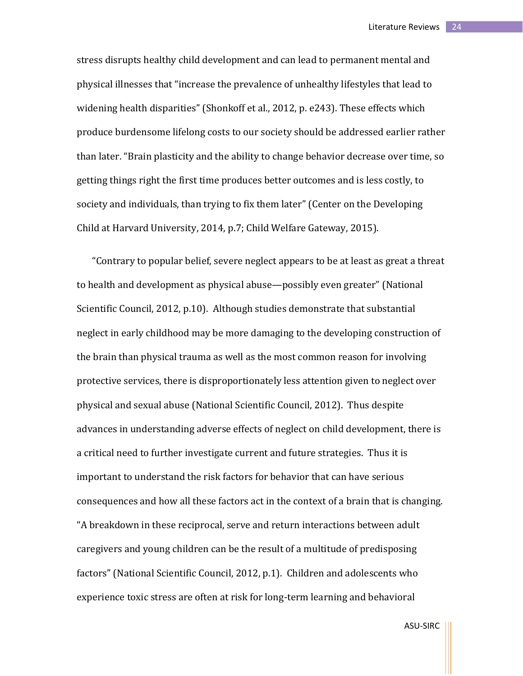stress disrupts healthy child development and can lead to permanent mental and physical illnesses that "increase the prevalence of unhealthy lifestyles that lead to widening health disparities" (Shonkoff et al., 2012, p. e243). These effects which produce burdensome lifelong costs to our society should be addressed earlier rather than later. "Brain plasticity and the ability to change behavior decrease over time, so getting things right the first time produces better outcomes and is less costly, to society and individuals, than trying to fix them later" (Center on the Developing Child at Harvard University, 2014, p.7; Child Welfare Gateway, 2015).

"Contrary to popular belief, severe neglect appears to be at least as great a threat to health and development as physical abuse—possibly even greater" (National Scientific Council, 2012, p.10). Although studies demonstrate that substantial neglect in early childhood may be more damaging to the developing construction of the brain than physical trauma as well as the most common reason for involving protective services, there is disproportionately less attention given to neglect over physical and sexual abuse (National Scientific Council, 2012). Thus despite advances in understanding adverse effects of neglect on child development, there is a critical need to further investigate current and future strategies. Thus it is important to understand the risk factors for behavior that can have serious consequences and how all these factors act in the context of a brain that is changing. "A breakdown in these reciprocal, serve and return interactions between adult caregivers and young children can be the result of a multitude of predisposing factors" (National Scientific Council, 2012, p.1). Children and adolescents who experience toxic stress are often at risk for long-term learning and behavioral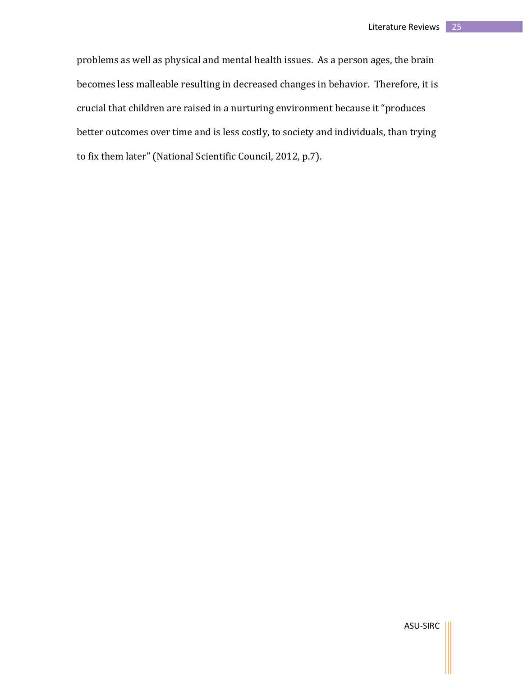problems as well as physical and mental health issues. As a person ages, the brain becomes less malleable resulting in decreased changes in behavior. Therefore, it is crucial that children are raised in a nurturing environment because it "produces better outcomes over time and is less costly, to society and individuals, than trying to fix them later" (National Scientific Council, 2012, p.7).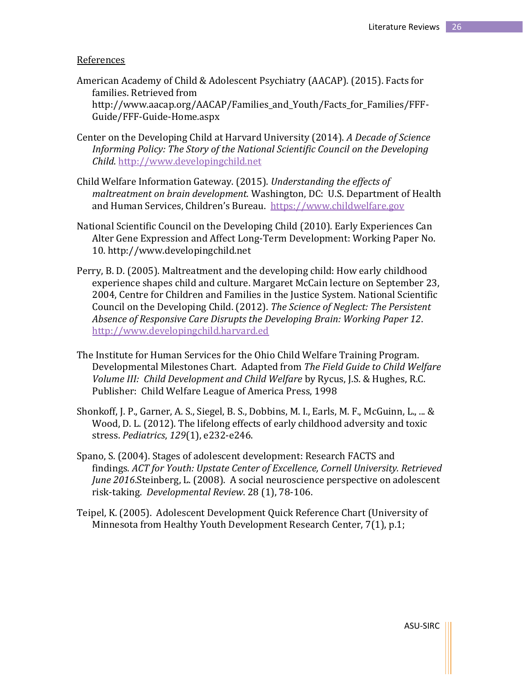#### References

- American Academy of Child & Adolescent Psychiatry (AACAP). (2015). Facts for families. Retrieved from http://www.aacap.org/AACAP/Families and Youth/Facts for Families/FFF-Guide/FFF-Guide-Home.aspx
- Center on the Developing Child at Harvard University (2014). *A Decade of Science Informing Policy: The Story of the National Scientific Council on the Developing Child*[. http://www.developingchild.net](http://www.developingchild.net/)
- Child Welfare Information Gateway. (2015). *Understanding the effects of maltreatment on brain development.* Washington, DC: U.S. Department of Health and Human Services, Children's Bureau. [https://www.childwelfare.gov](https://www.childwelfare.gov/)
- National Scientific Council on the Developing Child (2010). Early Experiences Can Alter Gene Expression and Affect Long-Term Development: Working Paper No. 10. http://www.developingchild.net
- Perry, B. D. (2005). Maltreatment and the developing child: How early childhood experience shapes child and culture. Margaret McCain lecture on September 23, 2004, Centre for Children and Families in the Justice System. National Scientific Council on the Developing Child. (2012). *The Science of Neglect: The Persistent Absence of Responsive Care Disrupts the Developing Brain: Working Paper 12*. [http://www.developingchild.harvard.ed](http://www.developingchild.harvard.ed/)
- The Institute for Human Services for the Ohio Child Welfare Training Program. Developmental Milestones Chart. Adapted from *The Field Guide to Child Welfare Volume III: Child Development and Child Welfare* by Rycus, J.S. & Hughes, R.C. Publisher: Child Welfare League of America Press, 1998
- Shonkoff, J. P., Garner, A. S., Siegel, B. S., Dobbins, M. I., Earls, M. F., McGuinn, L., ... & Wood, D. L. (2012). The lifelong effects of early childhood adversity and toxic stress. *Pediatrics*, *129*(1), e232-e246.
- Spano, S. (2004). Stages of adolescent development: Research FACTS and findings. *ACT for Youth: Upstate Center of Excellence, Cornell University. Retrieved June 2016*.Steinberg, L. (2008). A social neuroscience perspective on adolescent risk-taking. *Developmental Review*. 28 (1), 78-106.
- Teipel, K. (2005). Adolescent Development Quick Reference Chart (University of Minnesota from Healthy Youth Development Research Center, 7(1), p.1;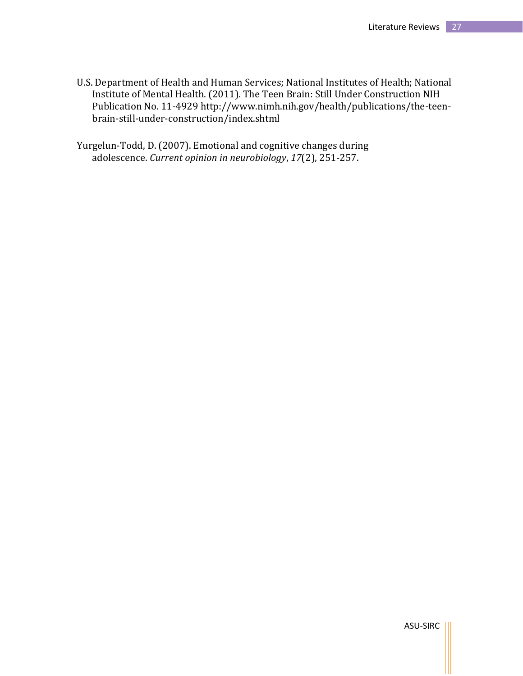- U.S. Department of Health and Human Services; National Institutes of Health; National Institute of Mental Health. (2011). The Teen Brain: Still Under Construction NIH Publication No. 11-4929 http://www.nimh.nih.gov/health/publications/the-teenbrain-still-under-construction/index.shtml
- Yurgelun-Todd, D. (2007). Emotional and cognitive changes during adolescence. *Current opinion in neurobiology*, *17*(2), 251-257.